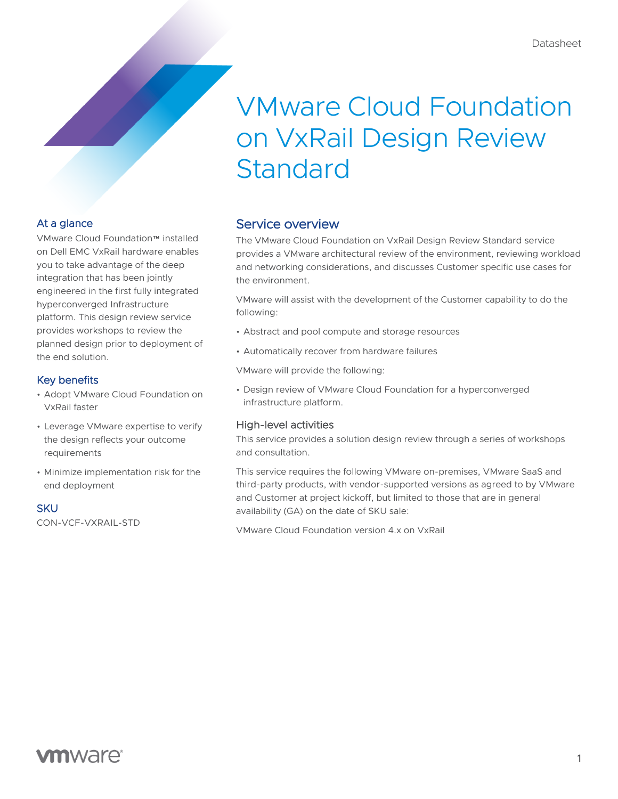# VMware Cloud Foundation on VxRail Design Review Standard

## At a glance

VMware Cloud Foundation™ installed on Dell EMC VxRail hardware enables you to take advantage of the deep integration that has been jointly engineered in the first fully integrated hyperconverged Infrastructure platform. This design review service provides workshops to review the planned design prior to deployment of the end solution.

## Key benefits

- Adopt VMware Cloud Foundation on VxRail faster
- Leverage VMware expertise to verify the design reflects your outcome requirements
- Minimize implementation risk for the end deployment

#### **SKU**

CON-VCF-VXRAIL-STD

## Service overview

The VMware Cloud Foundation on VxRail Design Review Standard service provides a VMware architectural review of the environment, reviewing workload and networking considerations, and discusses Customer specific use cases for the environment.

VMware will assist with the development of the Customer capability to do the following:

- Abstract and pool compute and storage resources
- Automatically recover from hardware failures

VMware will provide the following:

• Design review of VMware Cloud Foundation for a hyperconverged infrastructure platform.

## High-level activities

This service provides a solution design review through a series of workshops and consultation.

This service requires the following VMware on-premises, VMware SaaS and third-party products, with vendor-supported versions as agreed to by VMware and Customer at project kickoff, but limited to those that are in general availability (GA) on the date of SKU sale:

VMware Cloud Foundation version 4.x on VxRail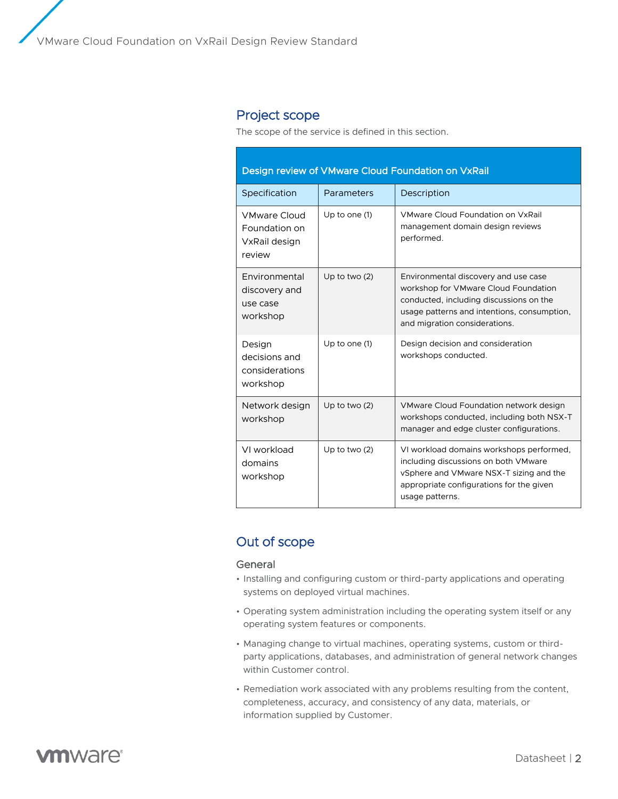## Project scope

The scope of the service is defined in this section.

| Design review of VMware Cloud Foundation on VxRail              |                 |                                                                                                                                                                                                         |
|-----------------------------------------------------------------|-----------------|---------------------------------------------------------------------------------------------------------------------------------------------------------------------------------------------------------|
| Specification                                                   | Parameters      | Description                                                                                                                                                                                             |
| <b>VMware Cloud</b><br>Foundation on<br>VxRail design<br>review | Up to one (1)   | VMware Cloud Foundation on VxRail<br>management domain design reviews<br>performed.                                                                                                                     |
| Environmental<br>discovery and<br>use case<br>workshop          | Up to two $(2)$ | Environmental discovery and use case<br>workshop for VMware Cloud Foundation<br>conducted, including discussions on the<br>usage patterns and intentions, consumption,<br>and migration considerations. |
| Design<br>decisions and<br>considerations<br>workshop           | Up to one (1)   | Design decision and consideration<br>workshops conducted.                                                                                                                                               |
| Network design<br>workshop                                      | Up to two $(2)$ | VMware Cloud Foundation network design<br>workshops conducted, including both NSX-T<br>manager and edge cluster configurations.                                                                         |
| VI workload<br>domains<br>workshop                              | Up to two $(2)$ | VI workload domains workshops performed,<br>including discussions on both VMware<br>vSphere and VMware NSX-T sizing and the<br>appropriate configurations for the given<br>usage patterns.              |

## Out of scope

#### General

- Installing and configuring custom or third-party applications and operating systems on deployed virtual machines.
- Operating system administration including the operating system itself or any operating system features or components.
- Managing change to virtual machines, operating systems, custom or thirdparty applications, databases, and administration of general network changes within Customer control.
- Remediation work associated with any problems resulting from the content, completeness, accuracy, and consistency of any data, materials, or information supplied by Customer.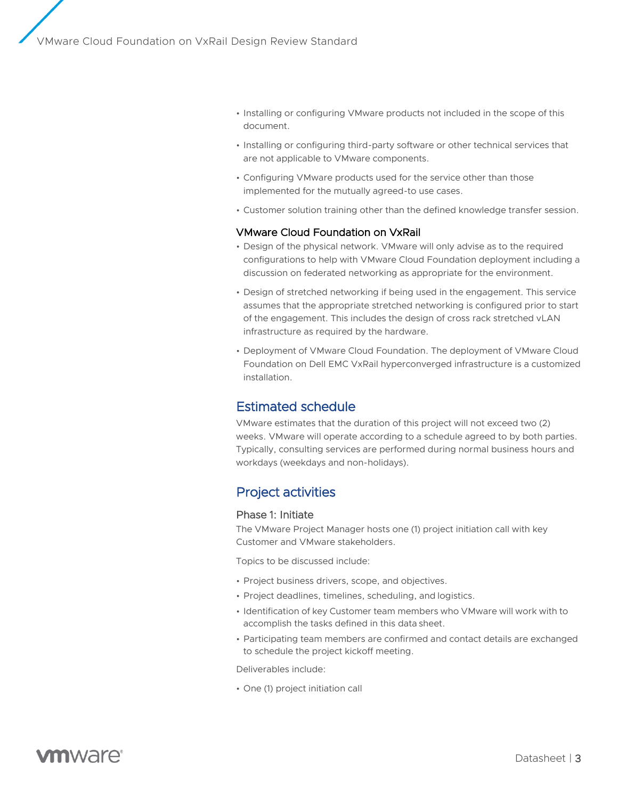- Installing or configuring VMware products not included in the scope of this document.
- Installing or configuring third-party software or other technical services that are not applicable to VMware components.
- Configuring VMware products used for the service other than those implemented for the mutually agreed-to use cases.
- Customer solution training other than the defined knowledge transfer session.

### VMware Cloud Foundation on VxRail

- Design of the physical network. VMware will only advise as to the required configurations to help with VMware Cloud Foundation deployment including a discussion on federated networking as appropriate for the environment.
- Design of stretched networking if being used in the engagement. This service assumes that the appropriate stretched networking is configured prior to start of the engagement. This includes the design of cross rack stretched vLAN infrastructure as required by the hardware.
- Deployment of VMware Cloud Foundation. The deployment of VMware Cloud Foundation on Dell EMC VxRail hyperconverged infrastructure is a customized installation.

## Estimated schedule

VMware estimates that the duration of this project will not exceed two (2) weeks. VMware will operate according to a schedule agreed to by both parties. Typically, consulting services are performed during normal business hours and workdays (weekdays and non-holidays).

## Project activities

#### Phase 1: Initiate

The VMware Project Manager hosts one (1) project initiation call with key Customer and VMware stakeholders.

Topics to be discussed include:

- Project business drivers, scope, and objectives.
- Project deadlines, timelines, scheduling, and logistics.
- Identification of key Customer team members who VMware will work with to accomplish the tasks defined in this data sheet.
- Participating team members are confirmed and contact details are exchanged to schedule the project kickoff meeting.

Deliverables include:

• One (1) project initiation call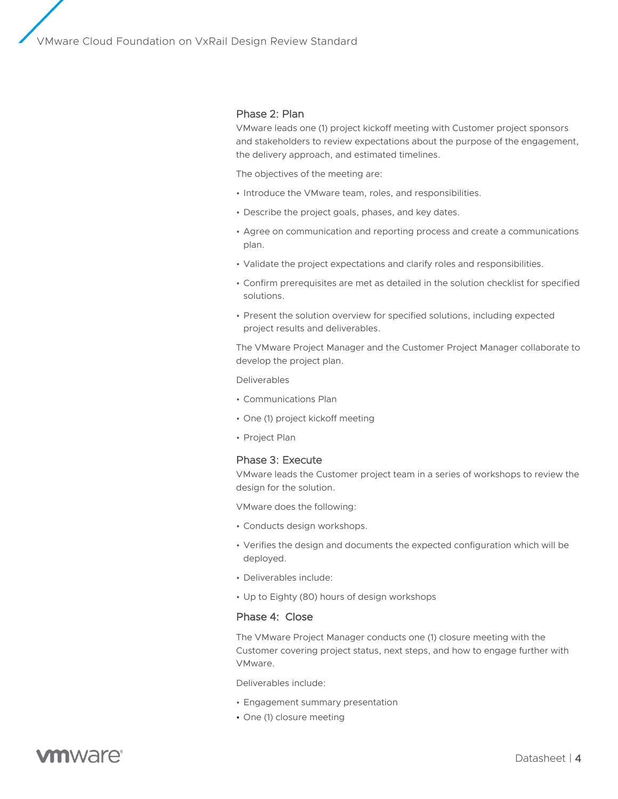## Phase 2: Plan

VMware leads one (1) project kickoff meeting with Customer project sponsors and stakeholders to review expectations about the purpose of the engagement, the delivery approach, and estimated timelines.

The objectives of the meeting are:

- Introduce the VMware team, roles, and responsibilities.
- Describe the project goals, phases, and key dates.
- Agree on communication and reporting process and create a communications plan.
- Validate the project expectations and clarify roles and responsibilities.
- Confirm prerequisites are met as detailed in the solution checklist for specified solutions.
- Present the solution overview for specified solutions, including expected project results and deliverables.

The VMware Project Manager and the Customer Project Manager collaborate to develop the project plan.

#### Deliverables

- Communications Plan
- One (1) project kickoff meeting
- Project Plan

### Phase 3: Execute

VMware leads the Customer project team in a series of workshops to review the design for the solution.

VMware does the following:

- Conducts design workshops.
- Verifies the design and documents the expected configuration which will be deployed.
- Deliverables include:
- Up to Eighty (80) hours of design workshops

### Phase 4: Close

The VMware Project Manager conducts one (1) closure meeting with the Customer covering project status, next steps, and how to engage further with VMware.

Deliverables include:

- Engagement summary presentation
- One (1) closure meeting